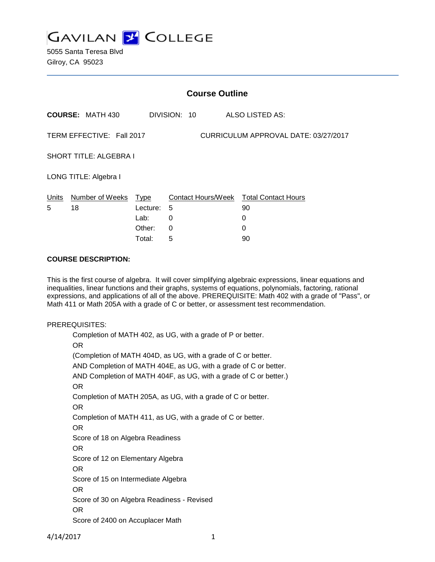

5055 Santa Teresa Blvd Gilroy, CA 95023

| <b>Course Outline</b>                                             |                         |             |              |                                        |
|-------------------------------------------------------------------|-------------------------|-------------|--------------|----------------------------------------|
|                                                                   | <b>COURSE: MATH 430</b> |             | DIVISION: 10 | ALSO LISTED AS:                        |
| TERM EFFECTIVE: Fall 2017<br>CURRICULUM APPROVAL DATE: 03/27/2017 |                         |             |              |                                        |
| <b>SHORT TITLE: ALGEBRA I</b>                                     |                         |             |              |                                        |
| LONG TITLE: Algebra I                                             |                         |             |              |                                        |
| Units                                                             | Number of Weeks         | <u>Type</u> |              | Contact Hours/Week Total Contact Hours |
| 5                                                                 | 18                      | Lecture:    | 5            | 90                                     |
|                                                                   |                         | Lab:        | 0            | 0                                      |
|                                                                   |                         | Other:      | 0            | $\Omega$                               |
|                                                                   |                         | Total:      | 5            | 90                                     |

### **COURSE DESCRIPTION:**

This is the first course of algebra. It will cover simplifying algebraic expressions, linear equations and inequalities, linear functions and their graphs, systems of equations, polynomials, factoring, rational expressions, and applications of all of the above. PREREQUISITE: Math 402 with a grade of "Pass", or Math 411 or Math 205A with a grade of C or better, or assessment test recommendation.

#### PREREQUISITES:

Completion of MATH 402, as UG, with a grade of P or better. OR (Completion of MATH 404D, as UG, with a grade of C or better. AND Completion of MATH 404E, as UG, with a grade of C or better. AND Completion of MATH 404F, as UG, with a grade of C or better.) OR Completion of MATH 205A, as UG, with a grade of C or better. OR Completion of MATH 411, as UG, with a grade of C or better. OR Score of 18 on Algebra Readiness OR Score of 12 on Elementary Algebra OR Score of 15 on Intermediate Algebra OR Score of 30 on Algebra Readiness - Revised OR Score of 2400 on Accuplacer Math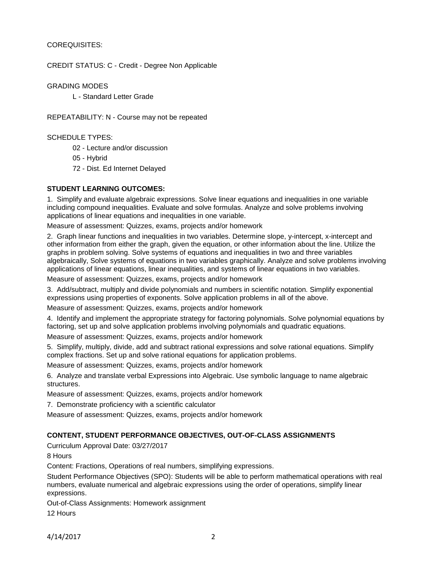## COREQUISITES:

CREDIT STATUS: C - Credit - Degree Non Applicable

GRADING MODES

L - Standard Letter Grade

REPEATABILITY: N - Course may not be repeated

SCHEDULE TYPES:

02 - Lecture and/or discussion

05 - Hybrid

72 - Dist. Ed Internet Delayed

## **STUDENT LEARNING OUTCOMES:**

1. Simplify and evaluate algebraic expressions. Solve linear equations and inequalities in one variable including compound inequalities. Evaluate and solve formulas. Analyze and solve problems involving applications of linear equations and inequalities in one variable.

Measure of assessment: Quizzes, exams, projects and/or homework

2. Graph linear functions and inequalities in two variables. Determine slope, y-intercept, x-intercept and other information from either the graph, given the equation, or other information about the line. Utilize the graphs in problem solving. Solve systems of equations and inequalities in two and three variables algebraically, Solve systems of equations in two variables graphically. Analyze and solve problems involving applications of linear equations, linear inequalities, and systems of linear equations in two variables.

Measure of assessment: Quizzes, exams, projects and/or homework

3. Add/subtract, multiply and divide polynomials and numbers in scientific notation. Simplify exponential expressions using properties of exponents. Solve application problems in all of the above.

Measure of assessment: Quizzes, exams, projects and/or homework

4. Identify and implement the appropriate strategy for factoring polynomials. Solve polynomial equations by factoring, set up and solve application problems involving polynomials and quadratic equations.

Measure of assessment: Quizzes, exams, projects and/or homework

5. Simplify, multiply, divide, add and subtract rational expressions and solve rational equations. Simplify complex fractions. Set up and solve rational equations for application problems.

Measure of assessment: Quizzes, exams, projects and/or homework

6. Analyze and translate verbal Expressions into Algebraic. Use symbolic language to name algebraic structures.

Measure of assessment: Quizzes, exams, projects and/or homework

7. Demonstrate proficiency with a scientific calculator

Measure of assessment: Quizzes, exams, projects and/or homework

## **CONTENT, STUDENT PERFORMANCE OBJECTIVES, OUT-OF-CLASS ASSIGNMENTS**

Curriculum Approval Date: 03/27/2017

8 Hours

Content: Fractions, Operations of real numbers, simplifying expressions.

Student Performance Objectives (SPO): Students will be able to perform mathematical operations with real numbers, evaluate numerical and algebraic expressions using the order of operations, simplify linear expressions.

Out-of-Class Assignments: Homework assignment 12 Hours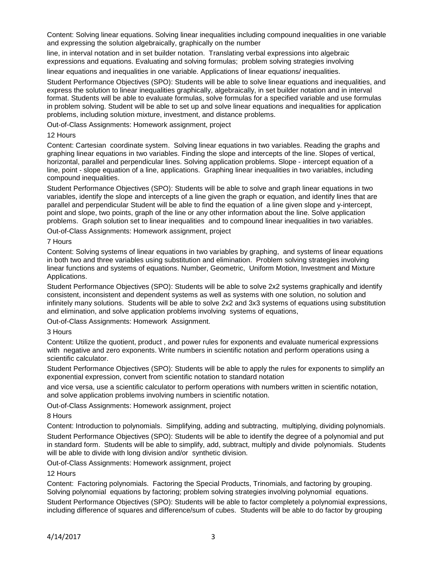Content: Solving linear equations. Solving linear inequalities including compound inequalities in one variable and expressing the solution algebraically, graphically on the number

line, in interval notation and in set builder notation. Translating verbal expressions into algebraic expressions and equations. Evaluating and solving formulas; problem solving strategies involving

linear equations and inequalities in one variable. Applications of linear equations/ inequalities.

Student Performance Objectives (SPO): Students will be able to solve linear equations and inequalities, and express the solution to linear inequalities graphically, algebraically, in set builder notation and in interval format. Students will be able to evaluate formulas, solve formulas for a specified variable and use formulas in problem solving. Student will be able to set up and solve linear equations and inequalities for application problems, including solution mixture, investment, and distance problems.

Out-of-Class Assignments: Homework assignment, project

#### 12 Hours

Content: Cartesian coordinate system. Solving linear equations in two variables. Reading the graphs and graphing linear equations in two variables. Finding the slope and intercepts of the line. Slopes of vertical, horizontal, parallel and perpendicular lines. Solving application problems. Slope - intercept equation of a line, point - slope equation of a line, applications. Graphing linear inequalities in two variables, including compound inequalities.

Student Performance Objectives (SPO): Students will be able to solve and graph linear equations in two variables, identify the slope and intercepts of a line given the graph or equation, and identify lines that are parallel and perpendicular Student will be able to find the equation of a line given slope and y-intercept, point and slope, two points, graph of the line or any other information about the line. Solve application problems. Graph solution set to linear inequalities and to compound linear inequalities in two variables.

Out-of-Class Assignments: Homework assignment, project

#### 7 Hours

Content: Solving systems of linear equations in two variables by graphing, and systems of linear equations in both two and three variables using substitution and elimination. Problem solving strategies involving linear functions and systems of equations. Number, Geometric, Uniform Motion, Investment and Mixture Applications.

Student Performance Objectives (SPO): Students will be able to solve 2x2 systems graphically and identify consistent, inconsistent and dependent systems as well as systems with one solution, no solution and infinitely many solutions. Students will be able to solve 2x2 and 3x3 systems of equations using substitution and elimination, and solve application problems involving systems of equations,

Out-of-Class Assignments: Homework Assignment.

#### 3 Hours

Content: Utilize the quotient, product , and power rules for exponents and evaluate numerical expressions with negative and zero exponents. Write numbers in scientific notation and perform operations using a scientific calculator.

Student Performance Objectives (SPO): Students will be able to apply the rules for exponents to simplify an exponential expression, convert from scientific notation to standard notation

and vice versa, use a scientific calculator to perform operations with numbers written in scientific notation, and solve application problems involving numbers in scientific notation.

Out-of-Class Assignments: Homework assignment, project

8 Hours

Content: Introduction to polynomials. Simplifying, adding and subtracting, multiplying, dividing polynomials.

Student Performance Objectives (SPO): Students will be able to identify the degree of a polynomial and put in standard form. Students will be able to simplify, add, subtract, multiply and divide polynomials. Students will be able to divide with long division and/or synthetic division.

Out-of-Class Assignments: Homework assignment, project

#### 12 Hours

Content: Factoring polynomials. Factoring the Special Products, Trinomials, and factoring by grouping. Solving polynomial equations by factoring; problem solving strategies involving polynomial equations.

Student Performance Objectives (SPO): Students will be able to factor completely a polynomial expressions, including difference of squares and difference/sum of cubes. Students will be able to do factor by grouping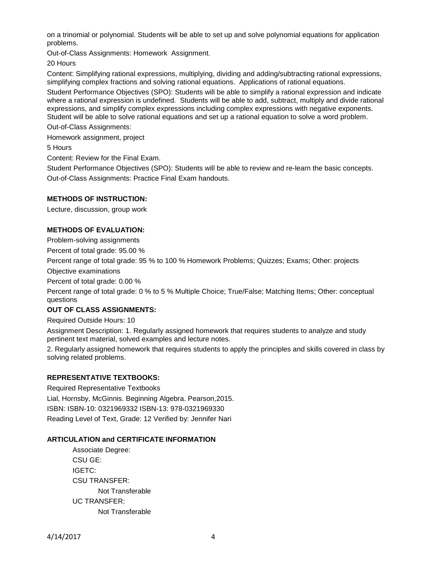on a trinomial or polynomial. Students will be able to set up and solve polynomial equations for application problems.

Out-of-Class Assignments: Homework Assignment.

20 Hours

Content: Simplifying rational expressions, multiplying, dividing and adding/subtracting rational expressions, simplifying complex fractions and solving rational equations. Applications of rational equations.

Student Performance Objectives (SPO): Students will be able to simplify a rational expression and indicate where a rational expression is undefined. Students will be able to add, subtract, multiply and divide rational expressions, and simplify complex expressions including complex expressions with negative exponents. Student will be able to solve rational equations and set up a rational equation to solve a word problem.

Out-of-Class Assignments:

Homework assignment, project

5 Hours

Content: Review for the Final Exam.

Student Performance Objectives (SPO): Students will be able to review and re-learn the basic concepts. Out-of-Class Assignments: Practice Final Exam handouts.

## **METHODS OF INSTRUCTION:**

Lecture, discussion, group work

# **METHODS OF EVALUATION:**

Problem-solving assignments

Percent of total grade: 95.00 %

Percent range of total grade: 95 % to 100 % Homework Problems; Quizzes; Exams; Other: projects

Objective examinations

Percent of total grade: 0.00 %

Percent range of total grade: 0 % to 5 % Multiple Choice; True/False; Matching Items; Other: conceptual questions

## **OUT OF CLASS ASSIGNMENTS:**

Required Outside Hours: 10

Assignment Description: 1. Regularly assigned homework that requires students to analyze and study pertinent text material, solved examples and lecture notes.

2. Regularly assigned homework that requires students to apply the principles and skills covered in class by solving related problems.

## **REPRESENTATIVE TEXTBOOKS:**

Required Representative Textbooks Lial, Hornsby, McGinnis. Beginning Algebra. Pearson,2015. ISBN: ISBN-10: 0321969332 ISBN-13: 978-0321969330 Reading Level of Text, Grade: 12 Verified by: Jennifer Nari

#### **ARTICULATION and CERTIFICATE INFORMATION**

Associate Degree: CSU GE: IGETC: CSU TRANSFER: Not Transferable UC TRANSFER: Not Transferable